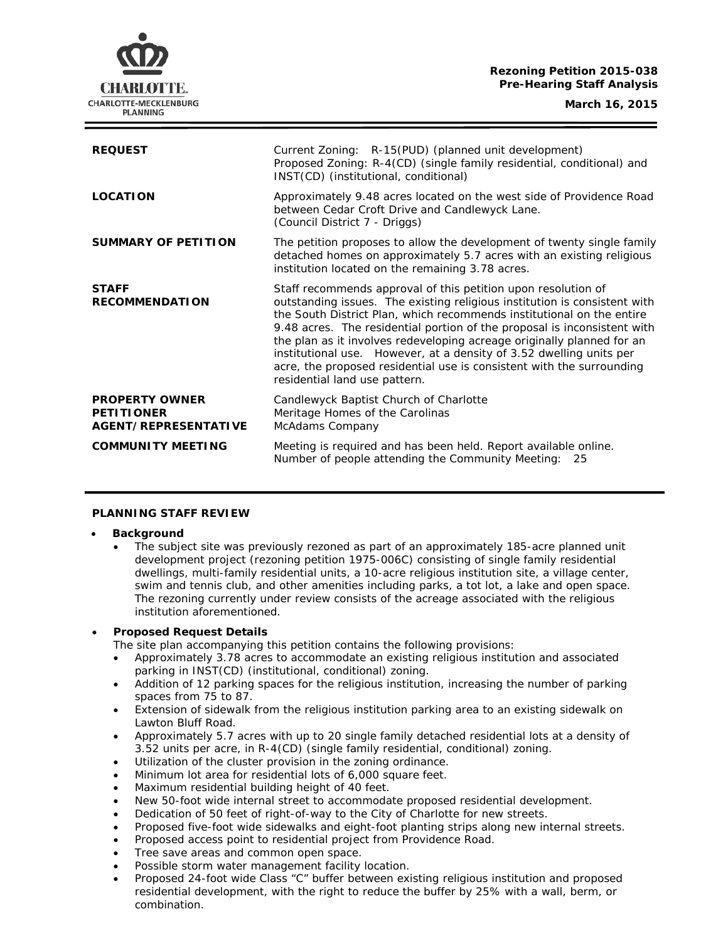# **Rezoning Petition 2015-038 Pre-Hearing Staff Analysis**

CHARLOTTE. **CHARLOTTE-MECKLENBURG PLANNING** 

| <b>REQUEST</b>                                                            | Current Zoning: R-15(PUD) (planned unit development)<br>Proposed Zoning: R-4(CD) (single family residential, conditional) and<br>INST(CD) (institutional, conditional)                                                                                                                                                                                                                                                                                                                                                                                     |
|---------------------------------------------------------------------------|------------------------------------------------------------------------------------------------------------------------------------------------------------------------------------------------------------------------------------------------------------------------------------------------------------------------------------------------------------------------------------------------------------------------------------------------------------------------------------------------------------------------------------------------------------|
| <b>LOCATION</b>                                                           | Approximately 9.48 acres located on the west side of Providence Road<br>between Cedar Croft Drive and Candlewyck Lane.<br>(Council District 7 - Driggs)                                                                                                                                                                                                                                                                                                                                                                                                    |
| <b>SUMMARY OF PETITION</b>                                                | The petition proposes to allow the development of twenty single family<br>detached homes on approximately 5.7 acres with an existing religious<br>institution located on the remaining 3.78 acres.                                                                                                                                                                                                                                                                                                                                                         |
| <b>STAFF</b><br><b>RECOMMENDATION</b>                                     | Staff recommends approval of this petition upon resolution of<br>outstanding issues. The existing religious institution is consistent with<br>the South District Plan, which recommends institutional on the entire<br>9.48 acres. The residential portion of the proposal is inconsistent with<br>the plan as it involves redeveloping acreage originally planned for an<br>institutional use. However, at a density of 3.52 dwelling units per<br>acre, the proposed residential use is consistent with the surrounding<br>residential land use pattern. |
| <b>PROPERTY OWNER</b><br><b>PETITIONER</b><br><b>AGENT/REPRESENTATIVE</b> | Candlewyck Baptist Church of Charlotte<br>Meritage Homes of the Carolinas<br>McAdams Company                                                                                                                                                                                                                                                                                                                                                                                                                                                               |
| <b>COMMUNITY MEETING</b>                                                  | Meeting is required and has been held. Report available online.<br>Number of people attending the Community Meeting:<br>25                                                                                                                                                                                                                                                                                                                                                                                                                                 |

#### **PLANNING STAFF REVIEW**

#### • **Background**

The subject site was previously rezoned as part of an approximately 185-acre planned unit development project (rezoning petition 1975-006C) consisting of single family residential dwellings, multi-family residential units, a 10-acre religious institution site, a village center, swim and tennis club, and other amenities including parks, a tot lot, a lake and open space. The rezoning currently under review consists of the acreage associated with the religious institution aforementioned.

# • **Proposed Request Details**

The site plan accompanying this petition contains the following provisions:

- Approximately 3.78 acres to accommodate an existing religious institution and associated parking in INST(CD) (institutional, conditional) zoning.
- Addition of 12 parking spaces for the religious institution, increasing the number of parking spaces from 75 to 87.
- Extension of sidewalk from the religious institution parking area to an existing sidewalk on Lawton Bluff Road.
- Approximately 5.7 acres with up to 20 single family detached residential lots at a density of 3.52 units per acre, in R-4(CD) (single family residential, conditional) zoning.
- Utilization of the cluster provision in the zoning ordinance.
- Minimum lot area for residential lots of 6,000 square feet.
- Maximum residential building height of 40 feet.
- New 50-foot wide internal street to accommodate proposed residential development.
- Dedication of 50 feet of right-of-way to the City of Charlotte for new streets.
- Proposed five-foot wide sidewalks and eight-foot planting strips along new internal streets.
- Proposed access point to residential project from Providence Road.
- Tree save areas and common open space.
- Possible storm water management facility location.
- Proposed 24-foot wide Class "C" buffer between existing religious institution and proposed residential development, with the right to reduce the buffer by 25% with a wall, berm, or combination.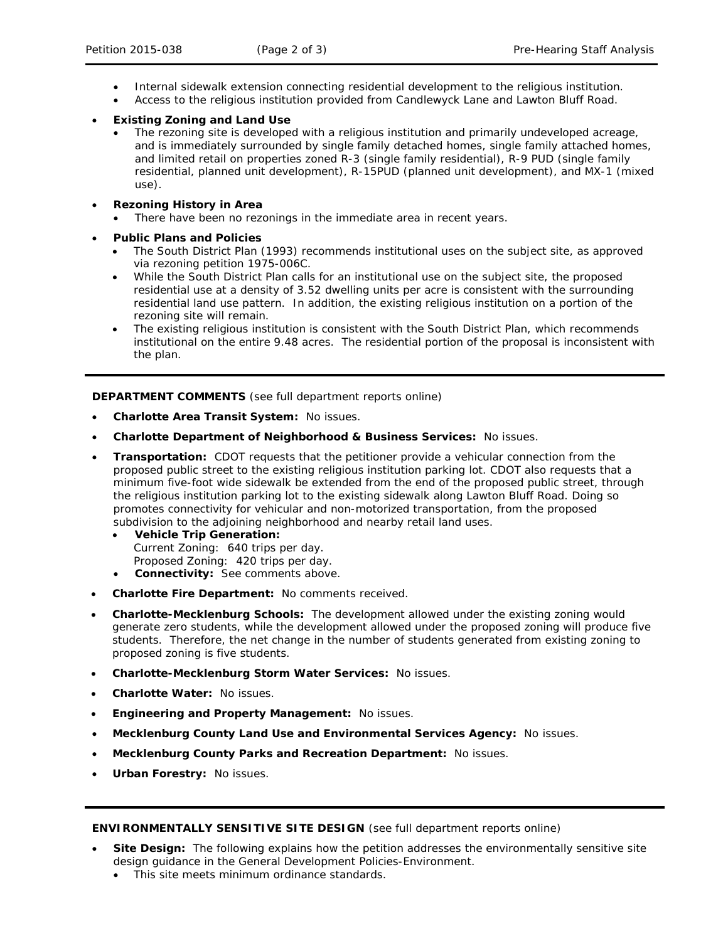- Internal sidewalk extension connecting residential development to the religious institution.
- Access to the religious institution provided from Candlewyck Lane and Lawton Bluff Road.
- **Existing Zoning and Land Use**
	- The rezoning site is developed with a religious institution and primarily undeveloped acreage. and is immediately surrounded by single family detached homes, single family attached homes, and limited retail on properties zoned R-3 (single family residential), R-9 PUD (single family residential, planned unit development), R-15PUD (planned unit development), and MX-1 (mixed use).
- **Rezoning History in Area**
	- There have been no rezonings in the immediate area in recent years.
- **Public Plans and Policies**
	- The *South District Plan* (1993) recommends institutional uses on the subject site, as approved via rezoning petition 1975-006C.
	- While the *South District Plan* calls for an institutional use on the subject site, the proposed residential use at a density of 3.52 dwelling units per acre is consistent with the surrounding residential land use pattern. In addition, the existing religious institution on a portion of the rezoning site will remain.
	- The existing religious institution is consistent with the *South District* Plan, which recommends institutional on the entire 9.48 acres. The residential portion of the proposal is inconsistent with the plan.

**DEPARTMENT COMMENTS** (see full department reports online)

- **Charlotte Area Transit System:** No issues.
- **Charlotte Department of Neighborhood & Business Services:** No issues.
- **Transportation:** CDOT requests that the petitioner provide a vehicular connection from the proposed public street to the existing religious institution parking lot. CDOT also requests that a minimum five-foot wide sidewalk be extended from the end of the proposed public street, through the religious institution parking lot to the existing sidewalk along Lawton Bluff Road. Doing so promotes connectivity for vehicular and non-motorized transportation, from the proposed subdivision to the adjoining neighborhood and nearby retail land uses.
	- **Vehicle Trip Generation:** Current Zoning: 640 trips per day. Proposed Zoning: 420 trips per day.
	- **Connectivity:** See comments above.
- **Charlotte Fire Department:** No comments received.
- **Charlotte-Mecklenburg Schools:** The development allowed under the existing zoning would generate zero students, while the development allowed under the proposed zoning will produce five students. Therefore, the net change in the number of students generated from existing zoning to proposed zoning is five students.
- **Charlotte-Mecklenburg Storm Water Services:** No issues.
- **Charlotte Water:** No issues.
- **Engineering and Property Management:** No issues.
- **Mecklenburg County Land Use and Environmental Services Agency:** No issues.
- **Mecklenburg County Parks and Recreation Department:** No issues.
- **Urban Forestry:** No issues.

**ENVIRONMENTALLY SENSITIVE SITE DESIGN** (see full department reports online)

- **Site Design:** The following explains how the petition addresses the environmentally sensitive site design guidance in the *General Development Policies-Environment*.
	- This site meets minimum ordinance standards.